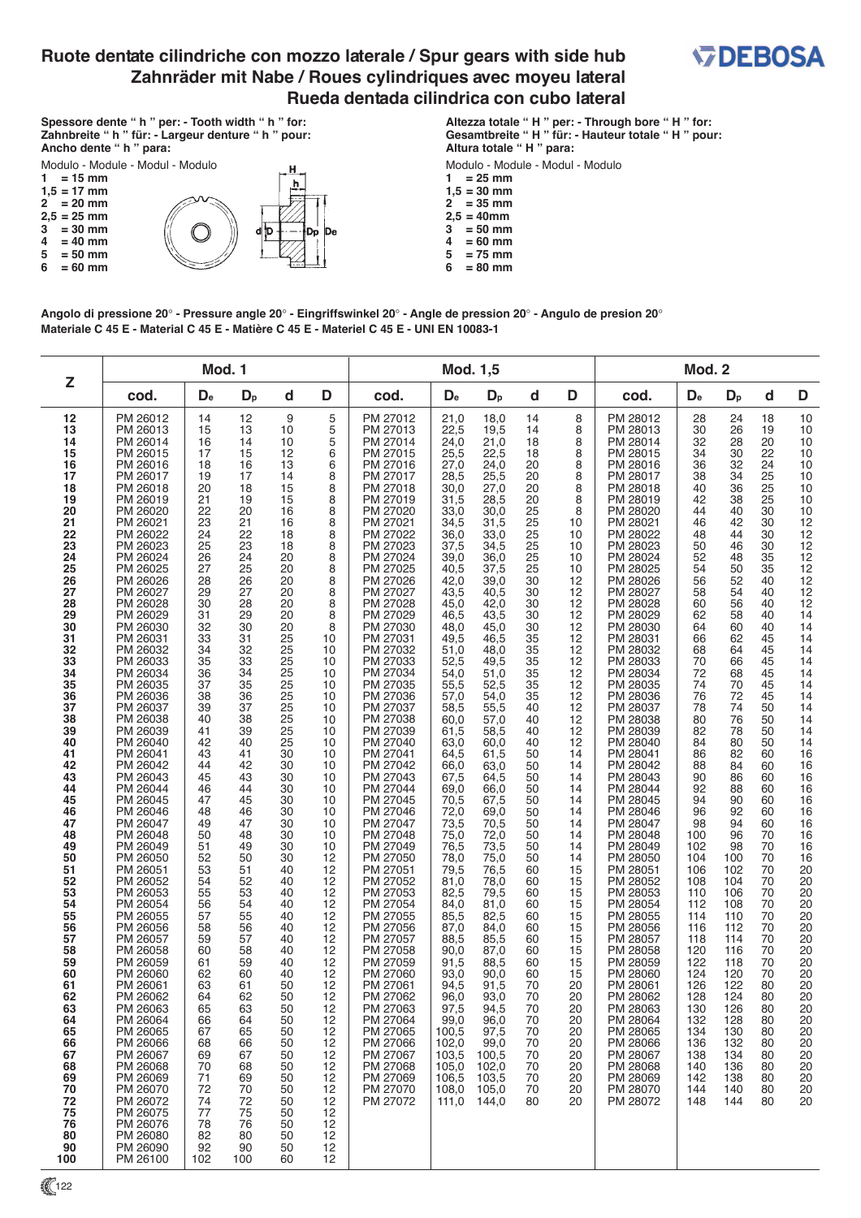## **Ruote dentate cilindriche con mozzo laterale / Spur gears with side hub Zahnräder mit Nabe / Roues cylindriques avec moyeu lateral Rueda dentada cilindrica con cubo lateral**



**Spessore dente " h " per: - Tooth width " h " for: Zahnbreite " h " für: - Largeur denture " h " pour: Ancho dente " h " para:**



**Altezza totale " H " per: - Through bore " H " for: Gesamtbreite " H " für: - Hauteur totale " H " pour: Altura totale " H " para:**

Modulo - Module - Modul - Modulo

- **1 = 25 mm**
- $1,5 = 30$  mm<br> $2 = 35$  mm  $= 35$  mm
- $2,5 = 40$  mm<br> $3 = 50$  mm
- $3^{1}$  = 50 mm<br>4 = 60 mm
- $4 = 60$  mm<br> $5 = 75$  mm  $5 = 75$  mm<br> $6 = 80$  mm
- **6 = 80 mm**

**Angolo di pressione 20**° **- Pressure angle 20**° **- Eingriffswinkel 20**° **- Angle de pression 20**° **- Angulo de presion 20**° **Materiale C 45 E - Material C 45 E - Matière C 45 E - Materiel C 45 E - UNI EN 10083-1**

| Z                                                                                                                                                                                                                                                                                                                                                                                                            |                                                                                                                                                                                                                                                                                                                                                                                                                                                                                                                                                                                                                                                                                                                                                                                                          |                                                                                                                                                                                                                                                                                                                                                                                                     | Mod. 1                                                                                                                                                                                                                                                                                                                                                                                              |                                                                                                                                                                                                                                                                                                                                                                                                   |                                                                                                                                                                                                                                                                                                                                                                                 |                                                                                                                                                                                                                                                                                                                                                                                                                                                                                                                                                                                                                                                                                                                                              |                                                                                                                                                                                                                                                                                                                                                                                                                                                                                                     | Mod. 1,5                                                                                                                                                                                                                                                                                                                                                                                                                                                                                          |                                                                                                                                                                                                                                                                                                                                                                      | Mod. 2                                                                                                                                                                                                                                                                                                                                                      |                                                                                                                                                                                                                                                                                                                                                                                                                                                                                                                                                                                                                                                                                                                                              |                                                                                                                                                                                                                                                                                                                                                                                              |                                                                                                                                                                                                                                                                                                                                                                                            |                                                                                                                                                                                                                                                                                                                                                                      |                                                                                                                                                                                                                                                                                                                                                                      |  |
|--------------------------------------------------------------------------------------------------------------------------------------------------------------------------------------------------------------------------------------------------------------------------------------------------------------------------------------------------------------------------------------------------------------|----------------------------------------------------------------------------------------------------------------------------------------------------------------------------------------------------------------------------------------------------------------------------------------------------------------------------------------------------------------------------------------------------------------------------------------------------------------------------------------------------------------------------------------------------------------------------------------------------------------------------------------------------------------------------------------------------------------------------------------------------------------------------------------------------------|-----------------------------------------------------------------------------------------------------------------------------------------------------------------------------------------------------------------------------------------------------------------------------------------------------------------------------------------------------------------------------------------------------|-----------------------------------------------------------------------------------------------------------------------------------------------------------------------------------------------------------------------------------------------------------------------------------------------------------------------------------------------------------------------------------------------------|---------------------------------------------------------------------------------------------------------------------------------------------------------------------------------------------------------------------------------------------------------------------------------------------------------------------------------------------------------------------------------------------------|---------------------------------------------------------------------------------------------------------------------------------------------------------------------------------------------------------------------------------------------------------------------------------------------------------------------------------------------------------------------------------|----------------------------------------------------------------------------------------------------------------------------------------------------------------------------------------------------------------------------------------------------------------------------------------------------------------------------------------------------------------------------------------------------------------------------------------------------------------------------------------------------------------------------------------------------------------------------------------------------------------------------------------------------------------------------------------------------------------------------------------------|-----------------------------------------------------------------------------------------------------------------------------------------------------------------------------------------------------------------------------------------------------------------------------------------------------------------------------------------------------------------------------------------------------------------------------------------------------------------------------------------------------|---------------------------------------------------------------------------------------------------------------------------------------------------------------------------------------------------------------------------------------------------------------------------------------------------------------------------------------------------------------------------------------------------------------------------------------------------------------------------------------------------|----------------------------------------------------------------------------------------------------------------------------------------------------------------------------------------------------------------------------------------------------------------------------------------------------------------------------------------------------------------------|-------------------------------------------------------------------------------------------------------------------------------------------------------------------------------------------------------------------------------------------------------------------------------------------------------------------------------------------------------------|----------------------------------------------------------------------------------------------------------------------------------------------------------------------------------------------------------------------------------------------------------------------------------------------------------------------------------------------------------------------------------------------------------------------------------------------------------------------------------------------------------------------------------------------------------------------------------------------------------------------------------------------------------------------------------------------------------------------------------------------|----------------------------------------------------------------------------------------------------------------------------------------------------------------------------------------------------------------------------------------------------------------------------------------------------------------------------------------------------------------------------------------------|--------------------------------------------------------------------------------------------------------------------------------------------------------------------------------------------------------------------------------------------------------------------------------------------------------------------------------------------------------------------------------------------|----------------------------------------------------------------------------------------------------------------------------------------------------------------------------------------------------------------------------------------------------------------------------------------------------------------------------------------------------------------------|----------------------------------------------------------------------------------------------------------------------------------------------------------------------------------------------------------------------------------------------------------------------------------------------------------------------------------------------------------------------|--|
|                                                                                                                                                                                                                                                                                                                                                                                                              | cod.                                                                                                                                                                                                                                                                                                                                                                                                                                                                                                                                                                                                                                                                                                                                                                                                     | $D_{e}$                                                                                                                                                                                                                                                                                                                                                                                             | $D_{p}$                                                                                                                                                                                                                                                                                                                                                                                             | d                                                                                                                                                                                                                                                                                                                                                                                                 | D                                                                                                                                                                                                                                                                                                                                                                               | cod.                                                                                                                                                                                                                                                                                                                                                                                                                                                                                                                                                                                                                                                                                                                                         | $D_{e}$                                                                                                                                                                                                                                                                                                                                                                                                                                                                                             | $D_{p}$                                                                                                                                                                                                                                                                                                                                                                                                                                                                                           | d                                                                                                                                                                                                                                                                                                                                                                    | D                                                                                                                                                                                                                                                                                                                                                           | cod.                                                                                                                                                                                                                                                                                                                                                                                                                                                                                                                                                                                                                                                                                                                                         | D <sub>e</sub>                                                                                                                                                                                                                                                                                                                                                                               | $D_{p}$                                                                                                                                                                                                                                                                                                                                                                                    | d                                                                                                                                                                                                                                                                                                                                                                    | D                                                                                                                                                                                                                                                                                                                                                                    |  |
| 12<br>13<br>14<br>15<br>16<br>17<br>18<br>19<br>20<br>21<br>22<br>23<br>24<br>25<br>26<br>27<br>28<br>29<br>30<br>31<br>32<br>33<br>34<br>35<br>36<br>37<br>38<br>39<br>40<br>41<br>42<br>43<br>44<br>45<br>46<br>47<br>48<br>49<br>50<br>51<br>52<br>53<br>54<br>55<br>56<br>57<br>58<br>59<br>60<br>61<br>62<br>63<br>64<br>65<br>66<br>67<br>68<br>69<br>70<br>72<br>75<br>76<br>80<br>90<br>100<br>▓ 122 | PM 26012<br>PM 26013<br>PM 26014<br>PM 26015<br>PM 26016<br>PM 26017<br>PM 26018<br>PM 26019<br>PM 26020<br>PM 26021<br>PM 26022<br>PM 26023<br>PM 26024<br>PM 26025<br>PM 26026<br>PM 26027<br>PM 26028<br>PM 26029<br>PM 26030<br>PM 26031<br>PM 26032<br>PM 26033<br>PM 26034<br>PM 26035<br>PM 26036<br>PM 26037<br>PM 26038<br>PM 26039<br>PM 26040<br>PM 26041<br>PM 26042<br>PM 26043<br>PM 26044<br>PM 26045<br>PM 26046<br>PM 26047<br>PM 26048<br>PM 26049<br>PM 26050<br>PM 26051<br>PM 26052<br>PM 26053<br>PM 26054<br>PM 26055<br>PM 26056<br>PM 26057<br>PM 26058<br>PM 26059<br>PM 26060<br>PM 26061<br>PM 26062<br>PM 26063<br>PM 26064<br>PM 26065<br>PM 26066<br>PM 26067<br>PM 26068<br>PM 26069<br>PM 26070<br>PM 26072<br>PM 26075<br>PM 26076<br>PM 26080<br>PM 26090<br>PM 26100 | 14<br>15<br>16<br>17<br>18<br>19<br>20<br>21<br>22<br>23<br>24<br>25<br>26<br>27<br>28<br>29<br>30<br>31<br>32<br>33<br>34<br>35<br>36<br>37<br>38<br>39<br>40<br>41<br>42<br>43<br>44<br>45<br>46<br>47<br>48<br>49<br>50<br>51<br>52<br>53<br>54<br>55<br>56<br>57<br>58<br>59<br>60<br>61<br>62<br>63<br>64<br>65<br>66<br>67<br>68<br>69<br>70<br>71<br>72<br>74<br>77<br>78<br>82<br>92<br>102 | 12<br>13<br>14<br>15<br>16<br>17<br>18<br>19<br>20<br>21<br>22<br>23<br>24<br>25<br>26<br>27<br>28<br>29<br>30<br>31<br>32<br>33<br>34<br>35<br>36<br>37<br>38<br>39<br>40<br>41<br>42<br>43<br>44<br>45<br>46<br>47<br>48<br>49<br>50<br>51<br>52<br>53<br>54<br>55<br>56<br>57<br>58<br>59<br>60<br>61<br>62<br>63<br>64<br>65<br>66<br>67<br>68<br>69<br>70<br>72<br>75<br>76<br>80<br>90<br>100 | 9<br>10<br>10<br>12<br>13<br>14<br>15<br>15<br>16<br>16<br>18<br>18<br>20<br>20<br>20<br>20<br>20<br>20<br>20<br>25<br>25<br>25<br>25<br>25<br>25<br>25<br>25<br>25<br>25<br>30<br>30<br>30<br>30<br>30<br>30<br>30<br>30<br>30<br>30<br>40<br>40<br>40<br>40<br>40<br>40<br>40<br>40<br>40<br>40<br>50<br>50<br>50<br>50<br>50<br>50<br>50<br>50<br>50<br>50<br>50<br>50<br>50<br>50<br>50<br>60 | 5<br>5<br>5<br>6<br>6<br>8<br>8<br>8<br>8<br>8<br>8<br>8<br>8<br>8<br>8<br>8<br>8<br>8<br>8<br>10<br>10<br>10<br>10<br>10<br>10<br>10<br>10<br>10<br>10<br>10<br>10<br>10<br>10<br>10<br>10<br>10<br>10<br>10<br>12<br>12<br>12<br>12<br>12<br>12<br>12<br>12<br>12<br>12<br>12<br>12<br>12<br>12<br>12<br>12<br>12<br>12<br>12<br>12<br>12<br>12<br>12<br>12<br>12<br>12<br>12 | PM 27012<br>PM 27013<br>PM 27014<br>PM 27015<br>PM 27016<br>PM 27017<br>PM 27018<br>PM 27019<br>PM 27020<br>PM 27021<br>PM 27022<br>PM 27023<br>PM 27024<br>PM 27025<br>PM 27026<br>PM 27027<br>PM 27028<br>PM 27029<br>PM 27030<br>PM 27031<br>PM 27032<br>PM 27033<br>PM 27034<br>PM 27035<br>PM 27036<br>PM 27037<br>PM 27038<br>PM 27039<br>PM 27040<br>PM 27041<br>PM 27042<br>PM 27043<br>PM 27044<br>PM 27045<br>PM 27046<br>PM 27047<br>PM 27048<br>PM 27049<br>PM 27050<br>PM 27051<br>PM 27052<br>PM 27053<br>PM 27054<br>PM 27055<br>PM 27056<br>PM 27057<br>PM 27058<br>PM 27059<br>PM 27060<br>PM 27061<br>PM 27062<br>PM 27063<br>PM 27064<br>PM 27065<br>PM 27066<br>PM 27067<br>PM 27068<br>PM 27069<br>PM 27070<br>PM 27072 | 21,0<br>22,5<br>24,0<br>25,5<br>27,0<br>28,5<br>30,0<br>31,5<br>33,0<br>34,5<br>36,0<br>37,5<br>39,0<br>40,5<br>42,0<br>43,5<br>45,0<br>46,5<br>48,0<br>49,5<br>51,0<br>52,5<br>54,0<br>55,5<br>57,0<br>58,5<br>60,0<br>61,5<br>63,0<br>64,5<br>66,0<br>67,5<br>69,0<br>70,5<br>72,0<br>73,5<br>75,0<br>76,5<br>78,0<br>79,5<br>81,0<br>82,5<br>84,0<br>85,5<br>87,0<br>88,5<br>90,0<br>91,5<br>93,0<br>94,5<br>96.0<br>97,5<br>99,0<br>100,5<br>102,0<br>103,5<br>105,0<br>106,5<br>108,0<br>111,0 | 18,0<br>19,5<br>21,0<br>22,5<br>24,0<br>25,5<br>27,0<br>28,5<br>30,0<br>31,5<br>33,0<br>34,5<br>36,0<br>37,5<br>39,0<br>40,5<br>42,0<br>43,5<br>45,0<br>46,5<br>48,0<br>49.5<br>51,0<br>52,5<br>54,0<br>55,5<br>57,0<br>58,5<br>60,0<br>61,5<br>63,0<br>64,5<br>66,0<br>67,5<br>69,0<br>70,5<br>72,0<br>73,5<br>75,0<br>76,5<br>78,0<br>79,5<br>81,0<br>82,5<br>84,0<br>85,5<br>87,0<br>88,5<br>90,0<br>91,5<br>93.0<br>94,5<br>96,0<br>97,5<br>99,0<br>100,5<br>102,0<br>103,5<br>105,0<br>144,0 | 14<br>14<br>18<br>18<br>20<br>20<br>20<br>20<br>25<br>25<br>25<br>25<br>25<br>25<br>30<br>30<br>30<br>30<br>30<br>35<br>35<br>35<br>35<br>35<br>35<br>40<br>40<br>40<br>40<br>50<br>50<br>50<br>50<br>50<br>50<br>50<br>50<br>50<br>50<br>60<br>60<br>60<br>60<br>60<br>60<br>60<br>60<br>60<br>60<br>70<br>70<br>70<br>70<br>70<br>70<br>70<br>70<br>70<br>70<br>80 | 8<br>8<br>8<br>8<br>8<br>8<br>8<br>8<br>8<br>10<br>10<br>10<br>10<br>10<br>12<br>12<br>12<br>12<br>12<br>12<br>12<br>12<br>12<br>12<br>12<br>12<br>12<br>12<br>12<br>14<br>14<br>14<br>14<br>14<br>14<br>14<br>14<br>14<br>14<br>15<br>15<br>15<br>15<br>15<br>15<br>15<br>15<br>15<br>15<br>20<br>20<br>20<br>20<br>20<br>20<br>20<br>20<br>20<br>20<br>20 | PM 28012<br>PM 28013<br>PM 28014<br>PM 28015<br>PM 28016<br>PM 28017<br>PM 28018<br>PM 28019<br>PM 28020<br>PM 28021<br>PM 28022<br>PM 28023<br>PM 28024<br>PM 28025<br>PM 28026<br>PM 28027<br>PM 28028<br>PM 28029<br>PM 28030<br>PM 28031<br>PM 28032<br>PM 28033<br>PM 28034<br>PM 28035<br>PM 28036<br>PM 28037<br>PM 28038<br>PM 28039<br>PM 28040<br>PM 28041<br>PM 28042<br>PM 28043<br>PM 28044<br>PM 28045<br>PM 28046<br>PM 28047<br>PM 28048<br>PM 28049<br>PM 28050<br>PM 28051<br>PM 28052<br>PM 28053<br>PM 28054<br>PM 28055<br>PM 28056<br>PM 28057<br>PM 28058<br>PM 28059<br>PM 28060<br>PM 28061<br>PM 28062<br>PM 28063<br>PM 28064<br>PM 28065<br>PM 28066<br>PM 28067<br>PM 28068<br>PM 28069<br>PM 28070<br>PM 28072 | 28<br>30<br>32<br>34<br>36<br>38<br>40<br>42<br>44<br>46<br>48<br>50<br>52<br>54<br>56<br>58<br>60<br>62<br>64<br>66<br>68<br>70<br>72<br>74<br>76<br>78<br>80<br>82<br>84<br>86<br>88<br>90<br>92<br>94<br>96<br>98<br>100<br>102<br>104<br>106<br>108<br>110<br>112<br>114<br>116<br>118<br>120<br>122<br>124<br>126<br>128<br>130<br>132<br>134<br>136<br>138<br>140<br>142<br>144<br>148 | 24<br>26<br>28<br>30<br>32<br>34<br>36<br>38<br>40<br>42<br>44<br>46<br>48<br>50<br>52<br>54<br>56<br>58<br>60<br>62<br>64<br>66<br>68<br>70<br>72<br>74<br>76<br>78<br>80<br>82<br>84<br>86<br>88<br>90<br>92<br>94<br>96<br>98<br>100<br>102<br>104<br>106<br>108<br>110<br>112<br>114<br>116<br>118<br>120<br>122<br>124<br>126<br>128<br>130<br>132<br>134<br>136<br>138<br>140<br>144 | 18<br>19<br>20<br>22<br>24<br>25<br>25<br>25<br>30<br>30<br>30<br>30<br>35<br>35<br>40<br>40<br>40<br>40<br>40<br>45<br>45<br>45<br>45<br>45<br>45<br>50<br>50<br>50<br>50<br>60<br>60<br>60<br>60<br>60<br>60<br>60<br>70<br>70<br>70<br>70<br>70<br>70<br>70<br>70<br>70<br>70<br>70<br>70<br>70<br>80<br>80<br>80<br>80<br>80<br>80<br>80<br>80<br>80<br>80<br>80 | 10<br>10<br>10<br>10<br>10<br>10<br>10<br>10<br>10<br>12<br>12<br>12<br>12<br>12<br>12<br>12<br>12<br>14<br>14<br>14<br>14<br>14<br>14<br>14<br>14<br>14<br>14<br>14<br>14<br>16<br>16<br>16<br>16<br>16<br>16<br>16<br>16<br>16<br>16<br>20<br>20<br>20<br>20<br>20<br>20<br>20<br>20<br>20<br>20<br>20<br>20<br>20<br>20<br>20<br>20<br>20<br>20<br>20<br>20<br>20 |  |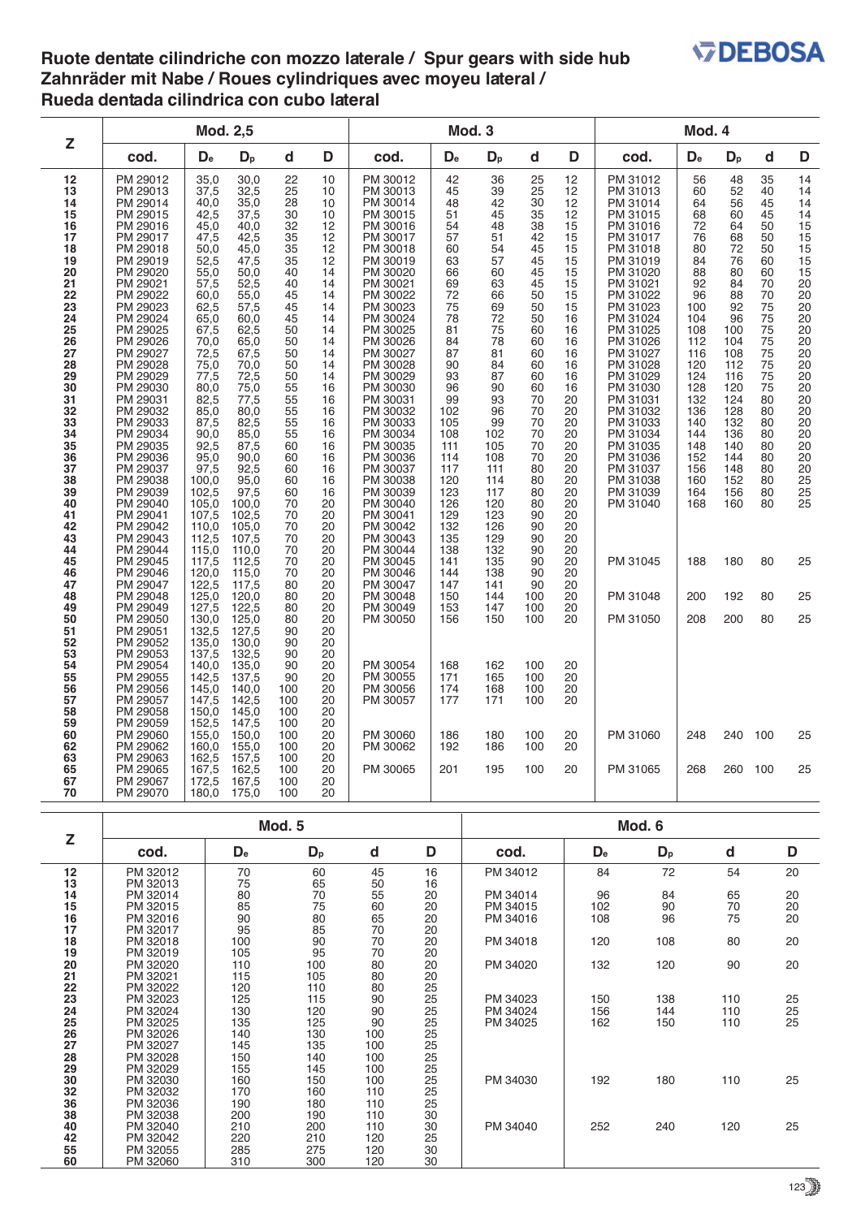## **V<sub>DEBOSA</sub>**

## **Ruote dentate cilindriche con mozzo laterale / Spur gears with side hub Zahnräder mit Nabe / Roues cylindriques avec moyeu lateral / Rueda dentada cilindrica con cubo lateral**

| Z                                                                                                                                                                                                                                                                                                                                     |                                                                                                                                                                                                                                                                                                                                                                                                                                                                                                                                                                      | Mod. 2,5                                                                                                                                                                                                                                                                                                                                                                                         |                                                                                                                                                                                                                                                                                                                                                                                                |                                                                                                                                                                                                                                                                                    |                                                                                                                                                                                                                                                                                  |                                                                                                                                                                                                                                                                                                                                                                                                                                                                                                                                  | Mod. 3                                                                                                                                                                                                                                                                                |                                                                                                                                                                                                                                                                                     |                                                                                                                                                                                                                                                                       | Mod. 4                                                                                                                                                                                                                                                                                   |                                                                                                                                                                                                                                                                                                                                                                                              |                                                                                                                                                                                                                                             |                                                                                                                                                                                                                              |                                                                                                                                                                                              |                                                                                                                                                                                                           |  |
|---------------------------------------------------------------------------------------------------------------------------------------------------------------------------------------------------------------------------------------------------------------------------------------------------------------------------------------|----------------------------------------------------------------------------------------------------------------------------------------------------------------------------------------------------------------------------------------------------------------------------------------------------------------------------------------------------------------------------------------------------------------------------------------------------------------------------------------------------------------------------------------------------------------------|--------------------------------------------------------------------------------------------------------------------------------------------------------------------------------------------------------------------------------------------------------------------------------------------------------------------------------------------------------------------------------------------------|------------------------------------------------------------------------------------------------------------------------------------------------------------------------------------------------------------------------------------------------------------------------------------------------------------------------------------------------------------------------------------------------|------------------------------------------------------------------------------------------------------------------------------------------------------------------------------------------------------------------------------------------------------------------------------------|----------------------------------------------------------------------------------------------------------------------------------------------------------------------------------------------------------------------------------------------------------------------------------|----------------------------------------------------------------------------------------------------------------------------------------------------------------------------------------------------------------------------------------------------------------------------------------------------------------------------------------------------------------------------------------------------------------------------------------------------------------------------------------------------------------------------------|---------------------------------------------------------------------------------------------------------------------------------------------------------------------------------------------------------------------------------------------------------------------------------------|-------------------------------------------------------------------------------------------------------------------------------------------------------------------------------------------------------------------------------------------------------------------------------------|-----------------------------------------------------------------------------------------------------------------------------------------------------------------------------------------------------------------------------------------------------------------------|------------------------------------------------------------------------------------------------------------------------------------------------------------------------------------------------------------------------------------------------------------------------------------------|----------------------------------------------------------------------------------------------------------------------------------------------------------------------------------------------------------------------------------------------------------------------------------------------------------------------------------------------------------------------------------------------|---------------------------------------------------------------------------------------------------------------------------------------------------------------------------------------------------------------------------------------------|------------------------------------------------------------------------------------------------------------------------------------------------------------------------------------------------------------------------------|----------------------------------------------------------------------------------------------------------------------------------------------------------------------------------------------|-----------------------------------------------------------------------------------------------------------------------------------------------------------------------------------------------------------|--|
|                                                                                                                                                                                                                                                                                                                                       | cod.                                                                                                                                                                                                                                                                                                                                                                                                                                                                                                                                                                 | D <sub>e</sub>                                                                                                                                                                                                                                                                                                                                                                                   | $D_{p}$                                                                                                                                                                                                                                                                                                                                                                                        | d                                                                                                                                                                                                                                                                                  | D                                                                                                                                                                                                                                                                                | cod.                                                                                                                                                                                                                                                                                                                                                                                                                                                                                                                             | D <sub>e</sub>                                                                                                                                                                                                                                                                        | $D_{p}$                                                                                                                                                                                                                                                                             | d                                                                                                                                                                                                                                                                     | D                                                                                                                                                                                                                                                                                        | cod.                                                                                                                                                                                                                                                                                                                                                                                         | D <sub>e</sub>                                                                                                                                                                                                                              | $D_{p}$                                                                                                                                                                                                                      | d                                                                                                                                                                                            | D                                                                                                                                                                                                         |  |
| 12<br>13<br>14<br>15<br>16<br>17<br>18<br>19<br>20<br>21<br>22<br>$\frac{23}{24}$<br>24<br>25<br>26<br>27<br>28<br>29<br>30<br>31<br>32<br>$\frac{33}{34}$<br>$\frac{35}{36}$<br>$\frac{36}{37}$<br>$\frac{38}{39}$<br>40<br>41<br>42<br>43<br>44<br>45<br>46<br>47<br>48<br>49<br>50<br>51<br>52<br>53<br>53<br>54<br>55<br>56<br>57 | PM 29012<br>PM 29013<br>PM 29014<br>PM 29015<br>PM 29016<br>PM 29017<br>PM 29018<br>PM 29019<br>PM 29020<br>PM 29021<br>PM 29022<br>PM 29023<br>PM 29024<br>PM 29025<br>PM 29026<br>PM 29027<br>PM 29028<br>PM 29029<br>PM 29030<br>PM 29031<br>PM 29032<br>PM 29033<br>PM 29034<br>PM 29035<br>PM 29036<br>PM 29037<br>PM 29038<br>PM 29039<br>PM 29040<br>PM 29041<br>PM 29042<br>PM 29043<br>PM 29044<br>PM 29045<br>PM 29046<br>PM 29047<br>PM 29048<br>PM 29049<br>PM 29050<br>PM 29051<br>PM 29052<br>PM 29053<br>PM 29054<br>PM 29055<br>PM 29056<br>PM 29057 | 35,0<br>37,5<br>40,0<br>42,5<br>45,0<br>47,5<br>50,0<br>52,5<br>55,0<br>57,5<br>60,0<br>62,5<br>65,0<br>67,5<br>70,0<br>72,5<br>75,0<br>77,5<br>80,0<br>82,5<br>85,0<br>87,5<br>90,0<br>92,5<br>95,0<br>97,5<br>100.0<br>102,5<br>105,0<br>107,5<br>110.0<br>112,5<br>115,0<br>117,5<br>120,0<br>122,5<br>125,0<br>127,5<br>130,0<br>132,5<br>135,0<br>137.5<br>140.0<br>142,5<br>145,0<br>147,5 | 30,0<br>32,5<br>35,0<br>37,5<br>40.0<br>42,5<br>45,0<br>47,5<br>50,0<br>52,5<br>55,0<br>57,5<br>60,0<br>62,5<br>65,0<br>67,5<br>70,0<br>72,5<br>75,0<br>77,5<br>80,0<br>82,5<br>85,0<br>87,5<br>90,0<br>92,5<br>95.0<br>97,5<br>100,0<br>102,5<br>105.0<br>107,5<br>110,0<br>112,5<br>115,0<br>117,5<br>120,0<br>122,5<br>125,0<br>127,5<br>130,0<br>132.5<br>135,0<br>137,5<br>140,0<br>142,5 | 22<br>25<br>28<br>30<br>32<br>35<br>35<br>35<br>40<br>40<br>45<br>45<br>45<br>50<br>50<br>50<br>50<br>50<br>55<br>55<br>55<br>55<br>55<br>60<br>60<br>60<br>60<br>60<br>70<br>70<br>70<br>70<br>70<br>70<br>70<br>80<br>80<br>80<br>80<br>90<br>90<br>90<br>90<br>90<br>100<br>100 | 10<br>10<br>10<br>10<br>12<br>12<br>12<br>12<br>14<br>14<br>14<br>14<br>14<br>14<br>14<br>14<br>14<br>14<br>16<br>16<br>16<br>16<br>16<br>16<br>16<br>16<br>16<br>16<br>20<br>20<br>20<br>20<br>20<br>20<br>20<br>20<br>20<br>20<br>20<br>20<br>20<br>20<br>20<br>20<br>20<br>20 | PM 30012<br>PM 30013<br>PM 30014<br>PM 30015<br>PM 30016<br>PM 30017<br>PM 30018<br>PM 30019<br>PM 30020<br>PM 30021<br>PM 30022<br>PM 30023<br>PM 30024<br>PM 30025<br>PM 30026<br>PM 30027<br>PM 30028<br>PM 30029<br>PM 30030<br>PM 30031<br>PM 30032<br>PM 30033<br>PM 30034<br>PM 30035<br>PM 30036<br>PM 30037<br>PM 30038<br>PM 30039<br>PM 30040<br>PM 30041<br>PM 30042<br>PM 30043<br>PM 30044<br>PM 30045<br>PM 30046<br>PM 30047<br>PM 30048<br>PM 30049<br>PM 30050<br>PM 30054<br>PM 30055<br>PM 30056<br>PM 30057 | 42<br>45<br>48<br>51<br>54<br>57<br>60<br>63<br>66<br>69<br>72<br>75<br>78<br>81<br>84<br>87<br>90<br>93<br>96<br>99<br>102<br>105<br>108<br>111<br>114<br>117<br>120<br>123<br>126<br>129<br>132<br>135<br>138<br>141<br>144<br>147<br>150<br>153<br>156<br>168<br>171<br>174<br>177 | 36<br>39<br>42<br>45<br>48<br>51<br>54<br>57<br>60<br>63<br>66<br>69<br>72<br>75<br>78<br>81<br>84<br>87<br>90<br>93<br>96<br>99<br>102<br>105<br>108<br>111<br>114<br>117<br>120<br>123<br>126<br>129<br>132<br>135<br>138<br>141<br>144<br>147<br>150<br>162<br>165<br>168<br>171 | 25<br>25<br>30<br>35<br>38<br>42<br>45<br>45<br>45<br>45<br>50<br>50<br>50<br>60<br>60<br>60<br>60<br>60<br>60<br>70<br>70<br>70<br>70<br>70<br>70<br>80<br>80<br>80<br>80<br>90<br>90<br>90<br>90<br>90<br>90<br>90<br>100<br>100<br>100<br>100<br>100<br>100<br>100 | 12<br>12<br>12<br>12<br>15<br>15<br>15<br>15<br>15<br>15<br>15<br>15<br>16<br>16<br>16<br>16<br>16<br>16<br>16<br>20<br>20<br>20<br>20<br>20<br>$\overline{20}$<br>20<br>20<br>20<br>20<br>20<br>20<br>20<br>20<br>20<br>20<br>20<br>20<br>20<br>20<br>20<br>$\overline{20}$<br>20<br>20 | PM 31012<br>PM 31013<br>PM 31014<br>PM 31015<br>PM 31016<br>PM 31017<br>PM 31018<br>PM 31019<br>PM 31020<br>PM 31021<br>PM 31022<br>PM 31023<br>PM 31024<br>PM 31025<br>PM 31026<br>PM 31027<br>PM 31028<br>PM 31029<br>PM 31030<br>PM 31031<br>PM 31032<br>PM 31033<br>PM 31034<br>PM 31035<br>PM 31036<br>PM 31037<br>PM 31038<br>PM 31039<br>PM 31040<br>PM 31045<br>PM 31048<br>PM 31050 | 56<br>60<br>64<br>68<br>$\overline{72}$<br>76<br>80<br>84<br>88<br>$\overline{92}$<br>96<br>100<br>104<br>108<br>112<br>116<br>120<br>124<br>128<br>132<br>136<br>140<br>144<br>148<br>152<br>156<br>160<br>164<br>168<br>188<br>200<br>208 | 48<br>52<br>56<br>60<br>64<br>68<br>72<br>76<br>80<br>$\overline{84}$<br>88<br>92<br>96<br>100<br>104<br>108<br>112<br>116<br>120<br>124<br>128<br>132<br>136<br>140<br>144<br>148<br>152<br>156<br>160<br>180<br>192<br>200 | 35<br>40<br>45<br>45<br>50<br>50<br>50<br>60<br>60<br>70<br>70<br>75<br>75<br>75<br>75<br>75<br>75<br>75<br>75<br>80<br>80<br>80<br>80<br>80<br>80<br>80<br>80<br>80<br>80<br>80<br>80<br>80 | 14<br>14<br>14<br>14<br>15<br>15<br>15<br>15<br>15<br>20<br>20<br>20<br>20<br>20<br>20<br>20<br>20<br>20<br>20<br>20<br>20<br>20<br>20<br>20<br>$\overline{20}$<br>20<br>25<br>25<br>25<br>25<br>25<br>25 |  |
| 58<br>59<br>60<br>62                                                                                                                                                                                                                                                                                                                  | PM 29058<br>PM 29059<br>PM 29060<br>PM 29062                                                                                                                                                                                                                                                                                                                                                                                                                                                                                                                         | 150,0<br>152,5<br>155,0<br>160,0                                                                                                                                                                                                                                                                                                                                                                 | 145,0<br>147,5<br>150,0<br>155,0                                                                                                                                                                                                                                                                                                                                                               | 100<br>100<br>100<br>100                                                                                                                                                                                                                                                           | 20<br>20<br>20<br>20                                                                                                                                                                                                                                                             | PM 30060<br>PM 30062                                                                                                                                                                                                                                                                                                                                                                                                                                                                                                             | 186<br>192                                                                                                                                                                                                                                                                            | 180<br>186                                                                                                                                                                                                                                                                          | 100<br>100                                                                                                                                                                                                                                                            | 20<br>20                                                                                                                                                                                                                                                                                 | PM 31060                                                                                                                                                                                                                                                                                                                                                                                     | 248                                                                                                                                                                                                                                         | 240                                                                                                                                                                                                                          | 100                                                                                                                                                                                          | 25                                                                                                                                                                                                        |  |
| 63<br>65<br>67<br>70                                                                                                                                                                                                                                                                                                                  | PM 29063<br>PM 29065<br>PM 29067<br>PM 29070                                                                                                                                                                                                                                                                                                                                                                                                                                                                                                                         | 162,5<br>167,5<br>172,5<br>180,0                                                                                                                                                                                                                                                                                                                                                                 | 157,5<br>162,5<br>167,5<br>175,0                                                                                                                                                                                                                                                                                                                                                               | 100<br>100<br>100<br>100                                                                                                                                                                                                                                                           | 20<br>20<br>20<br>20                                                                                                                                                                                                                                                             | PM 30065                                                                                                                                                                                                                                                                                                                                                                                                                                                                                                                         | 201                                                                                                                                                                                                                                                                                   | 195                                                                                                                                                                                                                                                                                 | 100                                                                                                                                                                                                                                                                   | 20                                                                                                                                                                                                                                                                                       | PM 31065                                                                                                                                                                                                                                                                                                                                                                                     | 268                                                                                                                                                                                                                                         | 260                                                                                                                                                                                                                          | 100                                                                                                                                                                                          | 25                                                                                                                                                                                                        |  |

| Z        |          |                           | Mod. 5  |             | Mod. 6                                  |          |                |         |             |                     |  |  |  |  |
|----------|----------|---------------------------|---------|-------------|-----------------------------------------|----------|----------------|---------|-------------|---------------------|--|--|--|--|
|          | cod.     | $\mathbf{D}_{\mathbf{e}}$ | $D_{p}$ | $\mathbf d$ | D                                       | cod.     | D <sub>e</sub> | $D_{p}$ | $\mathsf d$ | D                   |  |  |  |  |
| 12       | PM 32012 | 70                        | 60      | 45          | 16                                      | PM 34012 | 84             | 72      | 54          | 20                  |  |  |  |  |
| 13       | PM 32013 | 75                        | 65      | 50          | 16                                      |          |                |         |             |                     |  |  |  |  |
| 14       | PM 32014 | 80                        | 70      | 55          | 20                                      | PM 34014 | 96             | 84      | 65          | 20                  |  |  |  |  |
| 15       | PM 32015 | 85                        | 75      | 60          | 20                                      | PM 34015 | 102            | 90      | 70          | $\substack{20\\20}$ |  |  |  |  |
| 16       | PM 32016 | 90                        | 80      | 65          | 20                                      | PM 34016 | 108            | 96      | 75          |                     |  |  |  |  |
| 17       | PM 32017 | 95                        | 85      | 70          | $\begin{array}{c} 20 \\ 20 \end{array}$ |          |                |         |             |                     |  |  |  |  |
| 18       | PM 32018 | 100                       | 90      | 70          |                                         | PM 34018 | 120            | 108     | 80          | 20                  |  |  |  |  |
| 19       | PM 32019 | 105                       | 95      | 70          | 20                                      |          |                |         |             |                     |  |  |  |  |
| 20       | PM 32020 | 110                       | 100     | 80          | 20                                      | PM 34020 | 132            | 120     | 90          | 20                  |  |  |  |  |
| 21       | PM 32021 | 115                       | 105     | 80          | 20                                      |          |                |         |             |                     |  |  |  |  |
| 22       | PM 32022 | 120                       | 110     | 80          | 25                                      |          |                |         |             |                     |  |  |  |  |
| 23       | PM 32023 | 125                       | 115     | 90          | 25                                      | PM 34023 | 150            | 138     | 110         | 25                  |  |  |  |  |
| 24       | PM 32024 | 130                       | 120     | 90          | 25                                      | PM 34024 | 156            | 144     | 110         | $\frac{25}{25}$     |  |  |  |  |
| 25       | PM 32025 | 135                       | 125     | 90          | 25                                      | PM 34025 | 162            | 150     | 110         |                     |  |  |  |  |
| 26       | PM 32026 | 140                       | 130     | 100         | 25                                      |          |                |         |             |                     |  |  |  |  |
| 27       | PM 32027 | 145                       | 135     | 100         | 25                                      |          |                |         |             |                     |  |  |  |  |
| 28       | PM 32028 | 150                       | 140     | 100         | 25                                      |          |                |         |             |                     |  |  |  |  |
| 29       | PM 32029 | 155                       | 145     | 100         | 25                                      |          |                |         |             |                     |  |  |  |  |
| 30<br>32 | PM 32030 | 160                       | 150     | 100         | 25                                      | PM 34030 | 192            | 180     | 110         | 25                  |  |  |  |  |
|          | PM 32032 | 170                       | 160     | 110         | 25                                      |          |                |         |             |                     |  |  |  |  |
| 36       | PM 32036 | 190                       | 180     | 110         | 25                                      |          |                |         |             |                     |  |  |  |  |
| 38       | PM 32038 | 200                       | 190     | 110         | 30                                      |          |                |         |             |                     |  |  |  |  |
| 40       | PM 32040 | 210                       | 200     | 110         | 30                                      | PM 34040 | 252            | 240     | 120         | 25                  |  |  |  |  |
| 42       | PM 32042 | 220                       | 210     | 120         | 25                                      |          |                |         |             |                     |  |  |  |  |
| 55       | PM 32055 | 285                       | 275     | 120         | 30                                      |          |                |         |             |                     |  |  |  |  |
| 60       | PM 32060 | 310                       | 300     | 120         | 30                                      |          |                |         |             |                     |  |  |  |  |